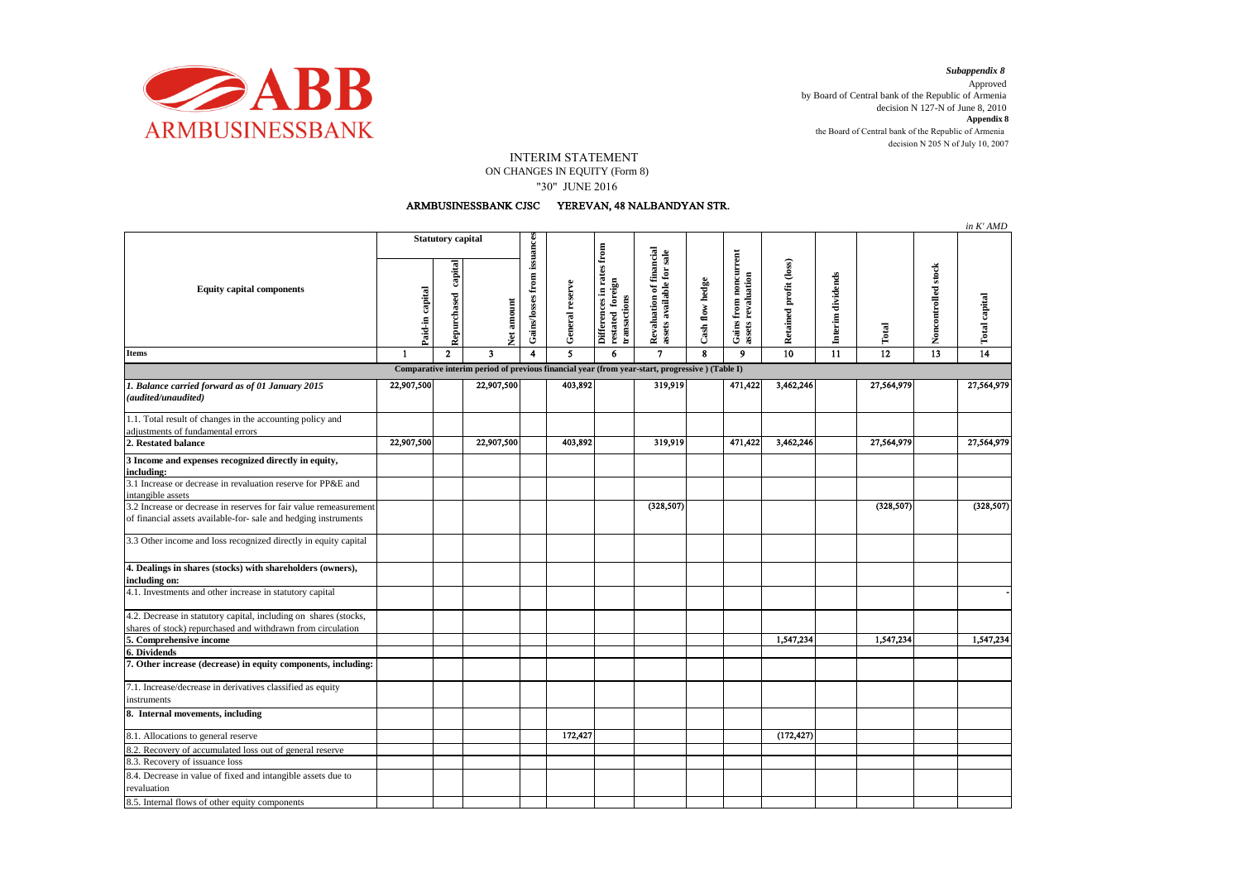

*Subappendix 8* 

decision N 205 N of July 10, 2007 Approved by Board of Central bank of the Republic of Armenia decision N 127-N of June 8, 2010 **Appendix 8** the Board of Central bank of the Republic of Armenia

## INTERIM STATEMENT ON CHANGES IN EQUITY (Form 8) "30" JUNE 2016

## ARMBUSINESSBANK CJSC YEREVAN, 48 NALBANDYAN STR.

|                                                                                                                                      |                          |                        |                         |                             |                 |                                                               |                                                       |                 |                                             |                        |                   |                 |                     | in K' AMD       |
|--------------------------------------------------------------------------------------------------------------------------------------|--------------------------|------------------------|-------------------------|-----------------------------|-----------------|---------------------------------------------------------------|-------------------------------------------------------|-----------------|---------------------------------------------|------------------------|-------------------|-----------------|---------------------|-----------------|
| <b>Equity capital components</b>                                                                                                     | <b>Statutory capital</b> |                        |                         |                             |                 |                                                               |                                                       |                 |                                             |                        |                   |                 |                     |                 |
|                                                                                                                                      | Paid-in capital          | capital<br>Repurchased | Net amount              | Gains/losses from issuances | General reserve | Differences in rates from<br>restated foreign<br>transactions | Revaluation of financial<br>assets available for sale | Cash flow hedge | Gains from noncurrent<br>assets revaluation | Retained profit (loss) | Interim dividends | Total           | Noncontrolled stock | Total capital   |
| <b>Items</b>                                                                                                                         | $\mathbf{1}$             | $\overline{2}$         | $\overline{\mathbf{3}}$ | $\overline{\mathbf{4}}$     | 5               | 6                                                             | $\overline{7}$                                        | 8               | $\boldsymbol{9}$                            | 10                     | 11                | $\overline{12}$ | $\overline{13}$     | $\overline{14}$ |
| Comparative interim period of previous financial year (from year-start, progressive) (Table I)                                       |                          |                        |                         |                             |                 |                                                               |                                                       |                 |                                             |                        |                   |                 |                     |                 |
| 1. Balance carried forward as of 01 January 2015<br>(audited/unaudited)                                                              | 22,907,500               |                        | 22,907,500              |                             | 403,892         |                                                               | 319,919                                               |                 | 471,422                                     | 3,462,246              |                   | 27,564,979      |                     | 27,564,979      |
| 1.1. Total result of changes in the accounting policy and<br>adjustments of fundamental errors                                       |                          |                        |                         |                             |                 |                                                               |                                                       |                 |                                             |                        |                   |                 |                     |                 |
| 2. Restated balance                                                                                                                  | 22,907,500               |                        | 22,907,500              |                             | 403,892         |                                                               | 319,919                                               |                 | 471,422                                     | 3,462,246              |                   | 27,564,979      |                     | 27,564,979      |
| 3 Income and expenses recognized directly in equity,<br>including:                                                                   |                          |                        |                         |                             |                 |                                                               |                                                       |                 |                                             |                        |                   |                 |                     |                 |
| 3.1 Increase or decrease in revaluation reserve for PP&E and<br>intangible assets                                                    |                          |                        |                         |                             |                 |                                                               |                                                       |                 |                                             |                        |                   |                 |                     |                 |
| 3.2 Increase or decrease in reserves for fair value remeasurement<br>of financial assets available-for- sale and hedging instruments |                          |                        |                         |                             |                 |                                                               | (328, 507)                                            |                 |                                             |                        |                   | (328, 507)      |                     | (328, 507)      |
| 3.3 Other income and loss recognized directly in equity capital                                                                      |                          |                        |                         |                             |                 |                                                               |                                                       |                 |                                             |                        |                   |                 |                     |                 |
| 4. Dealings in shares (stocks) with shareholders (owners),<br>including on:                                                          |                          |                        |                         |                             |                 |                                                               |                                                       |                 |                                             |                        |                   |                 |                     |                 |
| 4.1. Investments and other increase in statutory capital                                                                             |                          |                        |                         |                             |                 |                                                               |                                                       |                 |                                             |                        |                   |                 |                     |                 |
| 4.2. Decrease in statutory capital, including on shares (stocks,<br>shares of stock) repurchased and withdrawn from circulation      |                          |                        |                         |                             |                 |                                                               |                                                       |                 |                                             |                        |                   |                 |                     |                 |
| 5. Comprehensive income                                                                                                              |                          |                        |                         |                             |                 |                                                               |                                                       |                 |                                             | 1,547,234              |                   | 1,547,234       |                     | 1,547,234       |
| 6. Dividends<br>7. Other increase (decrease) in equity components, including:                                                        |                          |                        |                         |                             |                 |                                                               |                                                       |                 |                                             |                        |                   |                 |                     |                 |
| 7.1. Increase/decrease in derivatives classified as equity<br>instruments                                                            |                          |                        |                         |                             |                 |                                                               |                                                       |                 |                                             |                        |                   |                 |                     |                 |
| 8. Internal movements, including                                                                                                     |                          |                        |                         |                             |                 |                                                               |                                                       |                 |                                             |                        |                   |                 |                     |                 |
| 8.1. Allocations to general reserve                                                                                                  |                          |                        |                         |                             | 172.427         |                                                               |                                                       |                 |                                             | (172, 427)             |                   |                 |                     |                 |
| 8.2. Recovery of accumulated loss out of general reserve                                                                             |                          |                        |                         |                             |                 |                                                               |                                                       |                 |                                             |                        |                   |                 |                     |                 |
| 8.3. Recovery of issuance loss                                                                                                       |                          |                        |                         |                             |                 |                                                               |                                                       |                 |                                             |                        |                   |                 |                     |                 |
| 8.4. Decrease in value of fixed and intangible assets due to<br>revaluation                                                          |                          |                        |                         |                             |                 |                                                               |                                                       |                 |                                             |                        |                   |                 |                     |                 |
| 8.5. Internal flows of other equity components                                                                                       |                          |                        |                         |                             |                 |                                                               |                                                       |                 |                                             |                        |                   |                 |                     |                 |